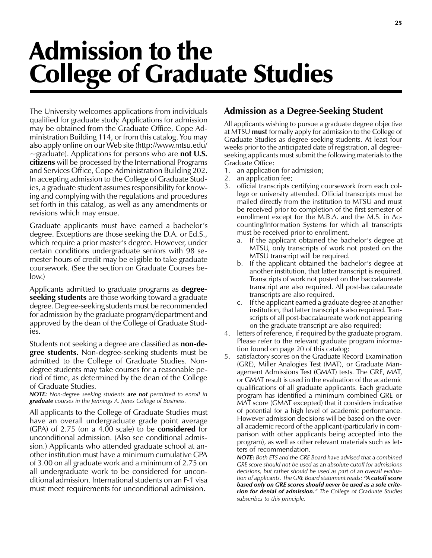# Admission to the College of Graduate Studies

The University welcomes applications from individuals qualified for graduate study. Applications for admission may be obtained from the Graduate Office, Cope Administration Building 114, or from this catalog. You may also apply online on our Web site (http://www.mtsu.edu/  $\sim$ graduate). Applications for persons who are **not U.S.** citizens will be processed by the International Programs and Services Office, Cope Administration Building 202. In accepting admission to the College of Graduate Studies, a graduate student assumes responsibility for knowing and complying with the regulations and procedures set forth in this catalog, as well as any amendments or revisions which may ensue.

Graduate applicants must have earned a bachelor's degree. Exceptions are those seeking the D.A. or Ed.S., which require a prior master's degree. However, under certain conditions undergraduate seniors with 98 semester hours of credit may be eligible to take graduate coursework. (See the section on Graduate Courses below.)

Applicants admitted to graduate programs as **degree**seeking students are those working toward a graduate degree. Degree-seeking students must be recommended for admission by the graduate program/department and approved by the dean of the College of Graduate Studies.

Students not seeking a degree are classified as **non-de**gree students. Non-degree-seeking students must be admitted to the College of Graduate Studies. Nondegree students may take courses for a reasonable period of time, as determined by the dean of the College of Graduate Studies.

NOTE: Non-degree seeking students are not permitted to enroll in **graduate** courses in the Jennings A. Jones College of Business.

All applicants to the College of Graduate Studies must have an overall undergraduate grade point average (GPA) of 2.75 (on a 4.00 scale) to be considered for unconditional admission. (Also see conditional admission.) Applicants who attended graduate school at another institution must have a minimum cumulative GPA of 3.00 on all graduate work and a minimum of 2.75 on all undergraduate work to be considered for unconditional admission. International students on an F-1 visa must meet requirements for unconditional admission.

#### Admission as a Degree-Seeking Student

All applicants wishing to pursue a graduate degree objective at MTSU **must** formally apply for admission to the College of Graduate Studies as degree-seeking students. At least four weeks prior to the anticipated date of registration, all degreeseeking applicants must submit the following materials to the Graduate Office:

- 1. an application for admission;
- 2. an application fee;
- 3. official transcripts certifying coursework from each college or university attended. Official transcripts must be mailed directly from the institution to MTSU and must be received prior to completion of the first semester of enrollment except for the M.B.A. and the M.S. in Accounting/Information Systems for which all transcripts must be received prior to enrollment.
	- a. If the applicant obtained the bachelor's degree at MTSU, only transcripts of work not posted on the MTSU transcript will be required.
	- b. If the applicant obtained the bachelor's degree at another institution, that latter transcript is required. Transcripts of work not posted on the baccalaureate transcript are also required. All post-baccalaureate transcripts are also required.
	- c. If the applicant earned a graduate degree at another institution, that latter transcript is also required. Transcripts of all post-baccalaureate work not appearing on the graduate transcript are also required;
- 4. letters of reference, if required by the graduate program. Please refer to the relevant graduate program information found on page 20 of this catalog;
- 5. satisfactory scores on the Graduate Record Examination (GRE), Miller Analogies Test (MAT), or Graduate Management Admissions Test (GMAT) tests. The GRE, MAT, or GMAT result is used in the evaluation of the academic qualifications of all graduate applicants. Each graduate program has identified a minimum combined GRE or MAT score (GMAT excepted) that it considers indicative of potential for a high level of academic performance. However admission decisions will be based on the overall academic record of the applicant (particularly in comparison with other applicants being accepted into the program), as well as other relevant materials such as letters of recommendation.

NOTE: Both ETS and the GRE Board have advised that a combined GRE score should not be used as an absolute cutoff for admissions decisions, but rather should be used as part of an overall evaluation of applicants. The GRE Board statement reads: "A cutoff score based only on GRE scores should never be used as a sole criterion for denial of admission." The College of Graduate Studies subscribes to this principle.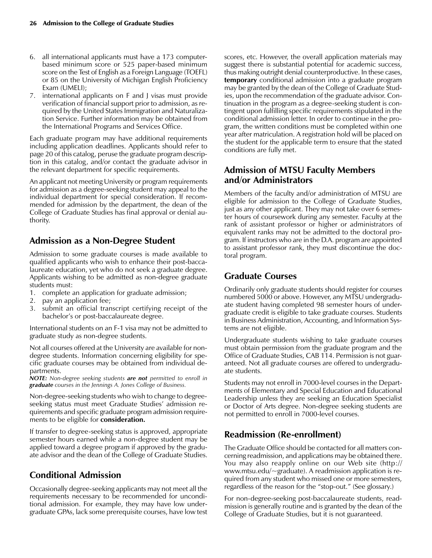- 6. all international applicants must have a 173 computerbased minimum score or 525 paper-based minimum score on the Test of English as a Foreign Language (TOEFL) or 85 on the University of Michigan English Proficiency Exam (UMELI);
- 7. international applicants on F and J visas must provide verification of financial support prior to admission, as required by the United States Immigration and Naturalization Service. Further information may be obtained from the International Programs and Services Office.

Each graduate program may have additional requirements including application deadlines. Applicants should refer to page 20 of this catalog, peruse the graduate program description in this catalog, and/or contact the graduate advisor in the relevant department for specific requirements.

An applicant not meeting University or program requirements for admission as a degree-seeking student may appeal to the individual department for special consideration. If recommended for admission by the department, the dean of the College of Graduate Studies has final approval or denial authority.

#### Admission as a Non-Degree Student

Admission to some graduate courses is made available to qualified applicants who wish to enhance their post-baccalaureate education, yet who do not seek a graduate degree. Applicants wishing to be admitted as non-degree graduate students must:

- 1. complete an application for graduate admission;
- 2. pay an application fee;
- submit an official transcript certifying receipt of the bachelor's or post-baccalaureate degree.

International students on an F-1 visa may not be admitted to graduate study as non-degree students.

Not all courses offered at the University are available for nondegree students. Information concerning eligibility for specific graduate courses may be obtained from individual departments.

NOTE: Non-degree seeking students are not permitted to enroll in graduate courses in the Jennings A. Jones College of Business.

Non-degree-seeking students who wish to change to degreeseeking status must meet Graduate Studies' admission requirements and specific graduate program admission requirements to be eligible for **consideration.** 

If transfer to degree-seeking status is approved, appropriate semester hours earned while a non-degree student may be applied toward a degree program if approved by the graduate advisor and the dean of the College of Graduate Studies.

## Conditional Admission

Occasionally degree-seeking applicants may not meet all the requirements necessary to be recommended for unconditional admission. For example, they may have low undergraduate GPAs, lack some prerequisite courses, have low test scores, etc. However, the overall application materials may suggest there is substantial potential for academic success, thus making outright denial counterproductive. In these cases, **temporary** conditional admission into a graduate program may be granted by the dean of the College of Graduate Studies, upon the recommendation of the graduate advisor. Continuation in the program as a degree-seeking student is contingent upon fulfilling specific requirements stipulated in the conditional admission letter. In order to continue in the program, the written conditions must be completed within one year after matriculation. A registration hold will be placed on the student for the applicable term to ensure that the stated conditions are fully met.

#### Admission of MTSU Faculty Members and/or Administrators

Members of the faculty and/or administration of MTSU are eligible for admission to the College of Graduate Studies, just as any other applicant. They may not take over 6 semester hours of coursework during any semester. Faculty at the rank of assistant professor or higher or administrators of equivalent ranks may not be admitted to the doctoral program. If instructors who are in the D.A. program are appointed to assistant professor rank, they must discontinue the doctoral program.

## Graduate Courses

Ordinarily only graduate students should register for courses numbered 5000 or above. However, any MTSU undergraduate student having completed 98 semester hours of undergraduate credit is eligible to take graduate courses. Students in Business Administration, Accounting, and Information Systems are not eligible.

Undergraduate students wishing to take graduate courses must obtain permission from the graduate program and the Office of Graduate Studies, CAB 114. Permission is not guaranteed. Not all graduate courses are offered to undergraduate students.

Students may not enroll in 7000-level courses in the Departments of Elementary and Special Education and Educational Leadership unless they are seeking an Education Specialist or Doctor of Arts degree. Non-degree seeking students are not permitted to enroll in 7000-level courses.

## Readmission (Re-enrollment)

The Graduate Office should be contacted for all matters concerning readmission, and applications may be obtained there. You may also reapply online on our Web site (http:// www.mtsu.edu/~graduate). A readmission application is required from any student who missed one or more semesters, regardless of the reason for the "stop-out." (See glossary.)

For non-degree-seeking post-baccalaureate students, readmission is generally routine and is granted by the dean of the College of Graduate Studies, but it is not guaranteed.